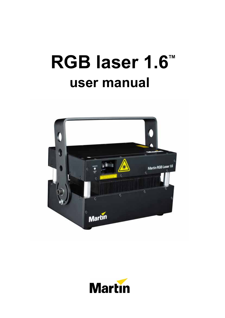# **RGB laser 1.6<sup>™</sup> user manual**



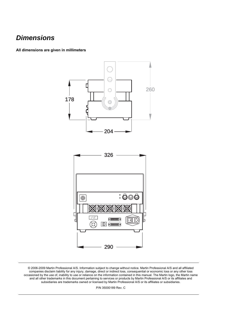### *Dimensions*

**All dimensions are given in millimeters** 



© 2006-2009 Martin Professional A/S. Information subject to change without notice. Martin Professional A/S and all affiliated companies disclaim liability for any injury, damage, direct or indirect loss, consequential or economic loss or any other loss occasioned by the use of, inability to use or reliance on the information contained in this manual. The Martin logo, the Martin name and all other trademarks in this document pertaining to services or products by Martin Professional A/S or its affiliates and subsidiaries are trademarks owned or licensed by Martin Professional A/S or its affiliates or subsidiaries.

P/N 35000189 Rev. C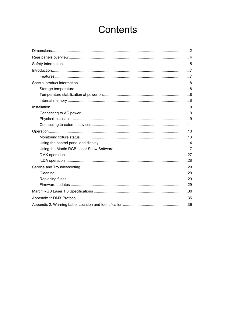# **Contents**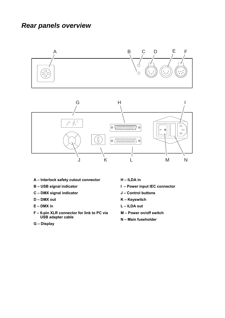### *Rear panels overview*



- **A Interlock safety cutout connector**
- **B USB signal indicator**
- **C DMX signal indicator**
- **D DMX out**
- **E DMX in**
- **F 6-pin XLR connector for link to PC via USB adapter cable**
- **G Display**
- **H ILDA in**
- **I Power input IEC connector**
- **J Control buttons**
- **K Keyswitch**
- **L ILDA out**
- **M Power on/off switch**
- **N Main fuseholder**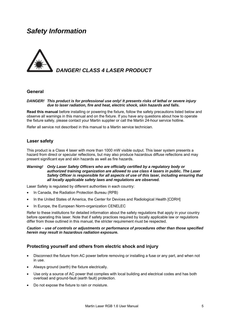### *Safety Information*



#### **General**

#### *DANGER! This product is for professional use only! It presents risks of lethal or severe injury due to laser radiation, fire and heat, electric shock, skin hazards and falls.*

**Read this manual** before installing or powering the fixture, follow the safety precautions listed below and observe all warnings in this manual and on the fixture. If you have any questions about how to operate the fixture safely, please contact your Martin supplier or call the Martin 24-hour service hotline.

Refer all service not described in this manual to a Martin service technician.

#### **Laser safety**

This product is a Class 4 laser with more than 1000 mW visible output. This laser system presents a hazard from direct or specular reflections, but may also produce hazardous diffuse reflections and may present significant eye and skin hazards as well as fire hazards.

#### *Warning! Only Laser Safety Officers who are officially certified by a regulatory body or authorized training organization are allowed to use class 4 lasers in public. The Laser Safety Officer is responsible for all aspects of use of this laser, including ensuring that all locally applicable safety laws and regulations are observed.*

Laser Safety is regulated by different authorities in each country:

- In Canada, the Radiation Protection Bureau (RPB)
- In the United States of America, the Center for Devices and Radiological Health [CDRH]
- In Europe, the European Norm-organization CENELEC

Refer to these institutions for detailed information about the safety regulations that apply in your country before operating this laser. Note that if safety practices required by locally applicable law or regulations differ from those outlined in this manual, the stricter requirement must be respected.

#### *Caution – use of controls or adjustments or performance of procedures other than those specified herein may result in hazardous radiation exposure.*

#### **Protecting yourself and others from electric shock and injury**

- Disconnect the fixture from AC power before removing or installing a fuse or any part, and when not in use.
- Always ground (earth) the fixture electrically.
- Use only a source of AC power that complies with local building and electrical codes and has both overload and ground-fault (earth fault) protection.
- Do not expose the fixture to rain or moisture.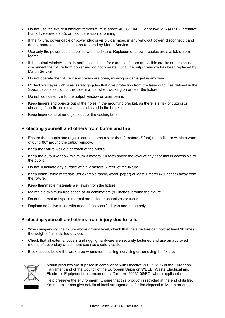- Do not use the fixture if ambient temperature is above 40° C (104° F) or below 5° C (41° F), if relative humidity exceeds 90%, or if condensation is forming.
- If the fixture, power cable or power plug is visibly damaged in any way, cut power, disconnect it and do not operate it until it has been repaired by Martin Service.
- Use only the power cable supplied with the fixture. Replacement power cables are available from Martin.
- If the output window is not in perfect condition, for example if there are visible cracks or scratches, disconnect the fixture from power and do not operate it until the output window has been replaced by Martin Service.
- Do not operate the fixture if any covers are open, missing or damaged in any way.
- Protect your eyes with laser safety goggles that give protection from the laser output as defined in the Specifications section of this user manual when working on or near the fixture.
- Do not look directly into the output window or laser beam.
- Keep fingers and objects out of the holes in the mounting bracket, as there is a risk of cutting or shearing if the fixture moves or is adjusted in the bracket.
- Keep fingers and other objects out of the cooling fans.

#### **Protecting yourself and others from burns and fire**

- Ensure that people and objects cannot come closer than 2 meters (7 feet) to the fixture within a zone of 80° x 80° around the output window.
- Keep the fixture well out of reach of the public.
- Keep the output window minimum 3 meters (10 feet) above the level of any floor that is accessible to the public.
- Do not illuminate any surface within 2 meters (7 feet) of the fixture
- Keep combustible materials (for example fabric, wood, paper) at least 1 meter (40 inches) away from the fixture.
- Keep flammable materials well away from the fixture.
- Maintain a minimum free space of 30 centimeters (12 inches) around the fixture.
- Do not attempt to bypass thermal protection mechanisms or fuses.
- Replace defective fuses with ones of the specified type and rating only.

#### **Protecting yourself and others from injury due to falls**

- When suspending the fixture above ground level, check that the structure can hold at least 10 times the weight of all installed devices.
- Check that all external covers and rigging hardware are securely fastened and use an approved means of secondary attachment such as a safety cable.
- Block access below the work area whenever installing, servicing or removing the fixture.



Martin products are supplied in compliance with Directive 2002/96/EC of the European Parliament and of the Council of the European Union on WEEE (Waste Electrical and Electronic Equipment), as amended by Directive 2003/108/EC, where applicable.

Help preserve the environment! Ensure that this product is recycled at the end of its life. Your supplier can give details of local arrangements for the disposal of Martin products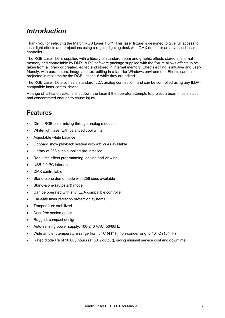### *Introduction*

Thank you for selecting the Martin RGB Laser 1.6™. This laser fixture is designed to give full access to laser light effects and projections using a regular lighting desk with DMX output or an advanced laser controller.

The RGB Laser 1.6 is supplied with a library of standard beam and graphic effects stored in internal memory and controllable by DMX. A PC software package supplied with the fixture allows effects to be taken from a library or created, edited and stored in internal memory. Effects editing is intuitive and userfriendly, with parameters, image and text editing in a familiar Windows environment. Effects can be projected in real time by the RGB Laser 1.6 while they are edited.

The RGB Laser 1.6 also has a standard ILDA analog connection, and can be controlled using any ILDAcompatible laser control device.

A range of fail-safe systems shut down the laser if the operator attempts to project a beam that is static and concentrated enough to cause injury.

### **Features**

- Direct RGB color mixing through analog modulation
- White-light laser with balanced cool white
- Adjustable white balance
- Onboard show playback system with 432 cues available
- Library of 288 cues supplied pre-installed
- Real-time effect programming, editing and viewing
- USB 2.0 PC interface
- DMX controllable
- Stand-alone demo mode with 256 cues available
- Stand-alone (autostart) mode
- Can be operated with any ILDA compatible controller
- Fail-safe laser radiation protection systems
- Temperature stabilized
- Dust-free sealed optics
- Rugged, compact design
- Auto-sensing power supply: 100-240 VAC, 50/60Hz
- Wide ambient temperature range from 5° C (41° F) non-condensing to 40° C (104° F)
- Rated diode life of 10 000 hours (at 80% output), giving minimal service cost and downtime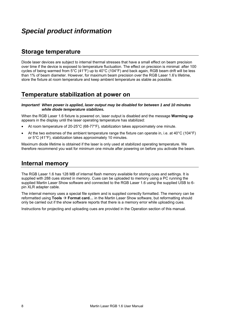### **Storage temperature**

Diode laser devices are subject to internal thermal stresses that have a small effect on beam precision over time if the device is exposed to temperature fluctuation. The effect on precision is minimal: after 100 cycles of being warmed from 5°C (41°F) up to 40°C (104°F) and back again, RGB beam drift will be less than 1% of beam diameter. However, for maximum beam precision over the RGB Laser 1.6's lifetime, store the fixture at room temperature and keep ambient temperature as stable as possible.

### **Temperature stabilization at power on**

*Important! When power is applied, laser output may be disabled for between 1 and 10 minutes while diode temperature stabilizes.* 

When the RGB Laser 1.6 fixture is powered on, laser output is disabled and the message **Warming up** appears in the display until the laser operating temperature has stabilized:

- At room temperature of 20-25°C (68-77°F), stabilization takes approximately one minute.
- At the two extremes of the ambient temperature range the fixture can operate in, i.e. at 40°C (104°F) or 5°C (41°F), stabilization takes approximately 10 minutes.

Maximum diode lifetime is obtained if the laser is only used at stabilized operating temperature. We therefore recommend you wait for minimum one minute after powering on before you activate the beam.

### **Internal memory**

The RGB Laser 1.6 has 128 MB of internal flash memory available for storing cues and settings. It is supplied with 288 cues stored in memory. Cues can be uploaded to memory using a PC running the supplied Martin Laser Show software and connected to the RGB Laser 1.6 using the supplied USB to 6 pin XLR adapter cable.

The internal memory uses a special file system and is supplied correctly formatted. The memory can be reformatted using **Tools → Format card…** in the Martin Laser Show software, but reformatting should only be carried out if the show software reports that there is a memory error while uploading cues.

Instructions for projecting and uploading cues are provided in the Operation section of this manual.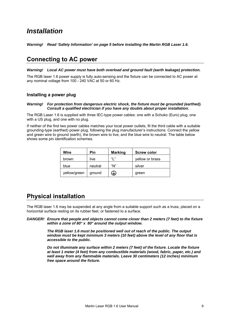### *Installation*

*Warning! Read 'Safety Information' on page 5 before installing the Martin RGB Laser 1.6.* 

### **Connecting to AC power**

*Warning! Local AC power must have both overload and ground fault (earth leakage) protection.* 

The RGB laser 1.6 power supply is fully auto-sensing and the fixture can be connected to AC power at any nominal voltage from 100 - 240 VAC at 50 or 60 Hz.

#### **Installing a power plug**

#### *Warning! For protection from dangerous electric shock, the fixture must be grounded (earthed). Consult a qualified electrician if you have any doubts about proper installation.*

The RGB Laser 1.6 is supplied with three IEC-type power cables: one with a Schuko (Euro) plug, one with a US plug, and one with no plug.

If neither of the first two power cables matches your local power outlets, fit the third cable with a suitable grounding-type (earthed) power plug, following the plug manufacturer's instructions. Connect the yellow and green wire to ground (earth), the brown wire to live, and the blue wire to neutral. The table below shows some pin identification schemes.

| Wire         | Pin     | <b>Marking</b> | <b>Screw color</b> |
|--------------|---------|----------------|--------------------|
| brown        | live    | "  "           | yellow or brass    |
| blue         | neutral | "N"            | silver             |
| yellow/green | ground  | ⊌              | green              |

### **Physical installation**

The RGB laser 1.6 may be suspended at any angle from a suitable support such as a truss, placed on a horizontal surface resting on its rubber feet, or fastened to a surface.

*DANGER! Ensure that people and objects cannot come closer than 2 meters (7 feet) to the fixture within a zone of 80° x 80° around the output window.* 

> *The RGB laser 1.6 must be positioned well out of reach of the public. The output window must be kept minimum 3 meters (10 feet) above the level of any floor that is accessible to the public.*

 *Do not illuminate any surface within 2 meters (7 feet) of the fixture. Locate the fixture at least 1 meter (4 feet) from any combustible materials (wood, fabric, paper, etc.) and well away from any flammable materials. Leave 30 centimeters (12 inches) minimum free space around the fixture.*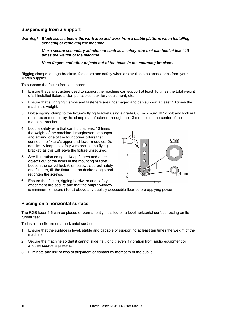#### **Suspending from a support**

*Warning! Block access below the work area and work from a stable platform when installing, servicing or removing the machine.* 

> *Use a secure secondary attachment such as a safety wire that can hold at least 10 times the weight of the machine.*

 *Keep fingers and other objects out of the holes in the mounting brackets.* 

Rigging clamps, omega brackets, fasteners and safety wires are available as accessories from your Martin supplier.

To suspend the fixture from a support:

- 1. Ensure that any structure used to support the machine can support at least 10 times the total weight of all installed fixtures, clamps, cables, auxiliary equipment, etc.
- 2. Ensure that all rigging clamps and fasteners are undamaged and can support at least 10 times the machine's weight.
- 3. Bolt a rigging clamp to the fixture's flying bracket using a grade 8.8 (minimum) M12 bolt and lock nut, or as recommended by the clamp manufacturer, through the 13 mm hole in the center of the mounting bracket.
- 4. Loop a safety wire that can hold at least 10 times the weight of the machine through/over the support and around one of the four corner pillars that connect the fixture's upper and lower modules. Do not simply loop the safety wire around the flying bracket, as this will leave the fixture unsecured.
- 5. See illustration on right. Keep fingers and other objects out of the holes in the mounting bracket. Loosen the swivel lock Allen screws approximately one full turn, tilt the fixture to the desired angle and retighten the screws.



6. Ensure that fixture, rigging hardware and safety attachment are secure and that the output window is minimum 3 meters (10 ft.) above any publicly accessible floor before applying power.

#### **Placing on a horizontal surface**

The RGB laser 1.6 can be placed or permanently installed on a level horizontal surface resting on its rubber feet.

To install the fixture on a horizontal surface:

- 1. Ensure that the surface is level, stable and capable of supporting at least ten times the weight of the machine.
- 2. Secure the machine so that it cannot slide, fall, or tilt, even if vibration from audio equipment or another source is present.
- 3. Eliminate any risk of loss of alignment or contact by members of the public.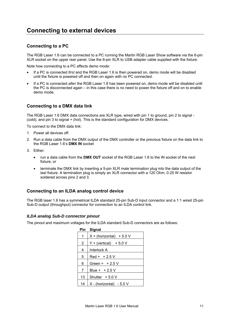### **Connecting to external devices**

#### **Connecting to a PC**

The RGB Laser 1.6 can be connected to a PC running the Martin RGB Laser Show software via the 6-pin XLR socket on the upper rear panel. Use the 6-pin XLR to USB adapter cable supplied with the fixture.

Note how connecting to a PC affects demo mode:

- If a PC is connected *first* and the RGB Laser 1.6 is then powered on, demo mode will be disabled until the fixture is powered off and then on again with no PC connected.
- If a PC is connected *after* the RGB Laser 1.6 has been powered on, demo mode will be disabled until the PC is disconnected again – in this case there is no need to power the fixture off and on to enable demo mode.

#### **Connecting to a DMX data link**

The RGB Laser 1.6 DMX data connections are XLR type, wired with pin 1 to ground, pin 2 to signal - (cold), and pin 3 to signal + (hot). This is the standard configuration for DMX devices.

To connect to the DMX data link:

- 1. Power all devices off.
- 2. Run a data cable from the DMX output of the DMX controller or the previous fixture on the data link to the RGB Laser 1.6's **DMX IN** socket
- 3. Either:
	- run a data cable from the **DMX OUT** socket of the RGB Laser 1.6 to the IN socket of the next fixture, or
	- terminate the DMX link by inserting a 5-pin XLR male termination plug into the data output of the last fixture. A termination plug is simply an XLR connector with a 120 Ohm, 0.25 W resistor soldered across pins 2 and 3.

#### **Connecting to an ILDA analog control device**

The RGB laser 1.6 has a symmetrical ILDA standard 25-pin Sub-D input connector and a 1:1 wired 25-pin Sub-D output (throughput) connector for connection to an ILDA control link.

#### *ILDA analog Sub-D connector pinout*

The pinout and maximum voltages for the ILDA standard Sub-D connectors are as follows:

| Pin            | Signal                     |
|----------------|----------------------------|
| 1              | $X + (horizontal) + 5.0 V$ |
| $\overline{2}$ | $Y + (vertical) + 5.0 V$   |
| 4              | Interlock A                |
| 5              | $Red + +2.5V$              |
| 6              | Green + $+2.5$ V           |
| 7              | Blue + $+2.5V$             |
| 13             | Shutter $+5.0V$            |
| 14             | $X - (horizontal) - 5.0 V$ |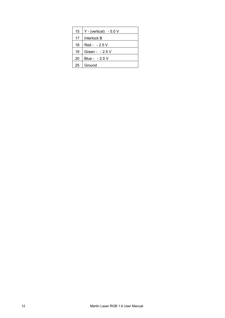| 15 | $Y - (vertical) - 5.0 V$ |
|----|--------------------------|
| 17 | Interlock B              |
| 18 | Red - - 2.5 V            |
| 19 | Green - $-2.5$ V         |
| 20 | Blue - - 2.5 V           |
| 25 | Ground                   |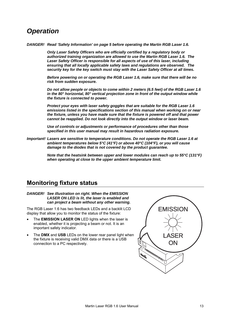### *Operation*

*DANGER! Read 'Safety Information' on page 5 before operating the Martin RGB Laser 1.6.* 

 *Only Laser Safety Officers who are officially certified by a regulatory body or authorized training organization are allowed to use the Martin RGB Laser 1.6. The Laser Safety Officer is responsible for all aspects of use of this laser, including ensuring that all locally applicable safety laws and regulations are observed. The security key for the key switch must stay with the Laser Safety Officer at all times.* 

 *Before powering on or operating the RGB Laser 1.6, make sure that there will be no risk from sudden exposure.* 

 *Do not allow people or objects to come within 2 meters (6.5 feet) of the RGB Laser 1.6 in the 80° horizontal, 80° vertical projection zone in front of the output window while the fixture is connected to power.* 

 *Protect your eyes with laser safety goggles that are suitable for the RGB Laser 1.6 emissions listed in the specifications section of this manual when working on or near the fixture, unless you have made sure that the fixture is powered off and that power cannot be reapplied. Do not look directly into the output window or laser beam.* 

 *Use of controls or adjustments or performance of procedures other than those specified in this user manual may result in hazardous radiation exposure.* 

*Important! Lasers are sensitive to temperature conditions. Do not operate the RGB Laser 1.6 at ambient temperatures below 5°C (41°F) or above 40°C (104°F), or you will cause damage to the diodes that is not covered by the product guarantee.* 

> *Note that the heatsink between upper and lower modules can reach up to 55°C (131°F) when operating at close to the upper ambient temperature limit.*

### **Monitoring fixture status**

#### *DANGER! See illustration on right. When the EMISSION LASER ON LED is lit, the laser is enabled and can project a beam without any other warning.*

The RGB Laser 1.6 has two feedback LEDs and a backlit LCD display that allow you to monitor the status of the fixture:

- The **EMISSION LASER ON** LED lights when the laser is enabled, whether it is projecting a beam or not. It is an important safety indicator.
- The **DMX** and **USB** LEDs on the lower rear panel light when the fixture is receiving valid DMX data or there is a USB connection to a PC respectively.

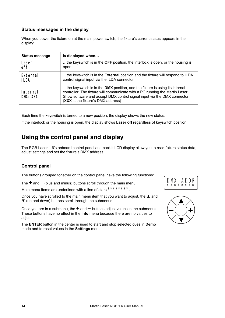#### **Status messages in the display**

When you power the fixture on at the main power switch, the fixture's current status appears in the display:

| <b>Status message</b>       | Is displayed when                                                                                                                                                                                                                                                           |
|-----------------------------|-----------------------------------------------------------------------------------------------------------------------------------------------------------------------------------------------------------------------------------------------------------------------------|
| Laser                       | the keyswitch is in the OFF position, the interlock is open, or the housing is                                                                                                                                                                                              |
| off                         | open                                                                                                                                                                                                                                                                        |
| External                    | the keyswitch is in the <b>External</b> position and the fixture will respond to ILDA                                                                                                                                                                                       |
| <b>ILDA</b>                 | control signal input via the ILDA connector                                                                                                                                                                                                                                 |
| <b>Internal</b><br>DMX: XXX | the keyswitch is in the DMX position, and the fixture is using its internal<br>controller. The fixture will communicate with a PC running the Martin Laser<br>Show software and accept DMX control signal input via the DMX connector<br>(XXX is the fixture's DMX address) |

Each time the keyswitch is turned to a new position, the display shows the new status.

If the interlock or the housing is open, the display shows **Laser off** regardless of keyswitch position.

### **Using the control panel and display**

The RGB Laser 1.6's onboard control panel and backlit LCD display allow you to read fixture status data, adjust settings and set the fixture's DMX address.

#### **Control panel**

The buttons grouped together on the control panel have the following functions:

The **+** and **–** (plus and minus) buttons scroll through the main menu.

Main menu items are underlined with a line of stars  $*******$ .

Once you have scrolled to the main menu item that you want to adjust, the **▲** and **▼** (up and down) buttons scroll through the submenus.

Once you are in a submenu, the **+** and **–** buttons adjust values in the submenus. These buttons have no effect in the **Info** menu because there are no values to adjust.

The **ENTER** button in the center is used to start and stop selected cues in **Demo** mode and to reset values in the **Settings** menu.



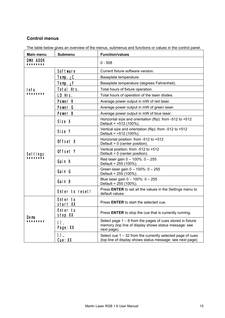#### **Control menus**

|  | The table below gives an overview of the menus, submenus and functions or values in the control panel. |  |
|--|--------------------------------------------------------------------------------------------------------|--|
|  |                                                                                                        |  |
|  |                                                                                                        |  |
|  |                                                                                                        |  |

| Main menu            | <b>Submenu</b>       | <b>Function/values</b>                                                                                                               |  |
|----------------------|----------------------|--------------------------------------------------------------------------------------------------------------------------------------|--|
| DMX ADDR<br>******** |                      | $0 - 508$                                                                                                                            |  |
| Info                 | Software             | Current fixture software version.                                                                                                    |  |
|                      | $Temp. \angle C$     | Baseplate temperature.                                                                                                               |  |
|                      | Temp. ¿F             | Baseplate temperature (degrees Fahrenheit).                                                                                          |  |
|                      | Total Hrs.           | Total hours of fixture operation.                                                                                                    |  |
| ******               | LD Hrs.              | Total hours of operation of the laser diodes.                                                                                        |  |
|                      | Power R              | Average power output in mW of red laser.                                                                                             |  |
|                      | Power G              | Average power output in mW of green laser.                                                                                           |  |
|                      | Power B              | Average power output in mW of blue laser.                                                                                            |  |
|                      | Size X               | Horizontal size and orientation (flip): from -512 to +512<br>Default = +512 (100%).                                                  |  |
|                      | Size Y               | Vertical size and orientation (flip): from -512 to +512<br>Default = +512 (100%).                                                    |  |
|                      | Offset X             | Horizontal position: from -512 to +512<br>Default = 0 (center position).                                                             |  |
| Settings             | Offset Y             | Vertical position: from -512 to +512<br>Default = 0 (center position).                                                               |  |
| *******              | Gain R               | Red laser gain $0 - 100\%$ : $0 - 255$<br>Default = 255 (100%).                                                                      |  |
|                      | Gain G               | Green laser gain 0 - 100%: 0 - 255<br>Default = 255 (100%).                                                                          |  |
|                      | Gain B               | Blue laser gain 0 - 100%: 0 - 255<br>Default = 255 (100%).                                                                           |  |
|                      | Enter to reset!      | Press ENTER to set all the values in the Settings menu to<br>default values.                                                         |  |
|                      | Enter to<br>start XX | Press <b>ENTER</b> to start the selected cue.                                                                                        |  |
| Demo<br>********     | Enter to<br>stop XX  | Press ENTER to stop the cue that is currently running.                                                                               |  |
|                      | ïΪ.<br>Page: XX      | Select page $1 - 8$ from the pages of cues stored in fixture<br>memory (top line of display shows status message: see<br>next page). |  |
|                      | ïΪ.<br>Cue: XX       | Select cue $1 - 32$ from the currently selected page of cues<br>(top line of display shows status message: see next page).           |  |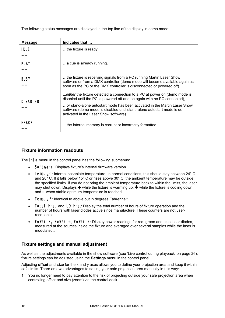The following status messages are displayed in the top line of the display in demo mode:

| <b>Message</b>      | Indicates that                                                                                                                                                                                                                                                                                                                                           |
|---------------------|----------------------------------------------------------------------------------------------------------------------------------------------------------------------------------------------------------------------------------------------------------------------------------------------------------------------------------------------------------|
| <b>IDLE</b><br>     | the fixture is ready.                                                                                                                                                                                                                                                                                                                                    |
| <b>PLAY</b><br>     | a cue is already running.                                                                                                                                                                                                                                                                                                                                |
| <b>BUSY</b><br>     | the fixture is receiving signals from a PC running Martin Laser Show<br>software or from a DMX controller (demo mode will become available again as<br>soon as the PC or the DMX controller is disconnected or powered off).                                                                                                                             |
| <b>DISABLED</b><br> | either the fixture detected a connection to a PC at power on (demo mode is<br>disabled until the PC is powered off and on again with no PC connected),<br>or stand-alone autostart mode has been activated in the Martin Laser Show<br>software (demo mode is disabled until stand-alone autostart mode is de-<br>activated in the Laser Show software). |
| <b>ERROR</b><br>    | the internal memory is corrupt or incorrectly formatted                                                                                                                                                                                                                                                                                                  |

#### **Fixture information readouts**

The **Info** menu in the control panel has the following submenus:

- Software: Displays fixture's internal firmware version.
- **Temp.**  $\angle C$ : Internal baseplate temperature. In normal conditions, this should stay between 24° C and 28° C. If it falls below 15° C or rises above 30° C, the ambient temperature may be outside the specified limits. If you do not bring the ambient temperature back to within the limits, the laser may shut down. Displays  $\bigwedge$  while the fixture is warming up,  $\Psi$  while the fixture is cooling down and \* when stable optimum temperature is reached.
- Temp. ¿F: Identical to above but in degrees Fahrenheit.
- Total Hrs.and LD Hrs.: Display the total number of hours of fixture operation and the number of hours with laser diodes active since manufacture. These counters are not userresettable.
- Power R, Power G, Power B: Display power readings for red, green and blue laser diodes, measured at the sources inside the fixture and averaged over several samples while the laser is modulated..

#### **Fixture settings and manual adjustment**

As well as the adjustments available in the show software (see 'Live control during playback' on page 26), fixture settings can be adjusted using the **Settings** menu in the control panel.

Adjusting **offset** and **size** for the x and y axes allows you to define your projection area and keep it within safe limits. There are two advantages to setting your safe projection area manually in this way:

1. You no longer need to pay attention to the risk of projecting outside your safe projection area when controlling offset and size (zoom) via the control desk.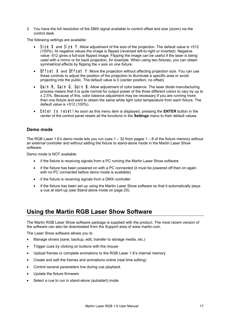2. You have the full resolution of the DMX signal available to control offset and size (zoom) via the control desk.

The following settings are available:

- Size X and Size Y: Allow adjustment of the size of the projection. The default value is +512 (100%). At negative values the image is flipped (reversed left-to-right or inverted). Negative value -512 gives a full-size flipped image. Flipping the image can be useful if the laser is being used with a mirror or for back projection, for example. When using two fixtures, you can obtain symmetrical effects by flipping the x axis on one fixture.
- Offset X and Offset Y: Move the projection without affecting projection size. You can use these controls to adjust the position of the projection to illuminate a specific area or avoid projecting into the public. The default value is 0 (center position, no offset).
- Gain R, Gain G, Gain B: Allow adjustment of color balance. The laser diode manufacturing process means that it is quite normal for output power of the three different colors to vary by up to ± 2.5%. Because of this, color balance adjustment may be necessary if you are running more than one fixture and want to obtain the same white light color temperature from each fixture. The default value is +512 (100%).
- Enter to reset! As soon as this menu item is displayed, pressing the **ENTER** button in the center of the control panel resets all the functions in the **Settings** menu to their default values.

#### **Demo mode**

The RGB Laser 1.6's demo mode lets you run cues  $1 - 32$  from pages  $1 - 8$  of the fixture memory without an external controller and without setting the fixture to stand-alone mode in the Martin Laser Show software.

Demo mode is NOT available:

- if the fixture is receiving signals from a PC running the Martin Laser Show software
- if the fixture has been powered on with a PC connected (it must be powered off then on again with no PC connected before demo mode is available)
- if the fixture is receiving signals from a DMX controller
- if the fixture has been set up using the Martin Laser Show software so that it automatically plays a cue at start-up (see Stand-alone mode on page 25).

### **Using the Martin RGB Laser Show Software**

The Martin RGB Laser Show software package is supplied with the product. The most recent version of the software can also be downloaded from the Support area of www.martin.com.

The Laser Show software allows you to

- Manage shows (save, backup, edit, transfer to storage media, etc.)
- Trigger cues by clicking on buttons with the mouse
- Upload frames or complete animations to the RGB Laser 1.6's internal memory
- Create and edit the frames and animations online (real time editing)
- Control several parameters live during cue playback
- Update the fixture firmware
- Select a cue to run in stand-alone (autostart) mode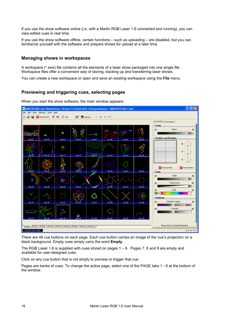If you use the show software online (i.e. with a Martin RGB Laser 1.6 connected and running), you can view edited cues in real time.

If you use the show software offline, certain functions – such as uploading – are disabled, but you can familiarize yourself with the software and prepare shows for upload at a later time.

#### **Managing shows in workspaces**

A workspace (\*.sws) file contains all the elements of a laser show packaged into one single file. Workspace files offer a convenient way of storing, backing up and transferring laser shows.

You can create a new workspace or open and save an existing workspace using the **File** menu.

#### **Previewing and triggering cues, selecting pages**

When you start the show software, the main window appears:



There are 48 cue buttons on each page. Each cue button carries an image of the cue's projection on a black background. Empty cues simply carry the word **Empty**.

The RGB Laser 1.6 is supplied with cues stored on pages  $1 - 6$ . Pages 7, 8 and 9 are empty and available for user-designed cues.

Click on any cue button that is not empty to preview or trigger that cue.

Pages are banks of cues. To change the active page, select one of the PAGE tabs 1 - 9 at the bottom of the window.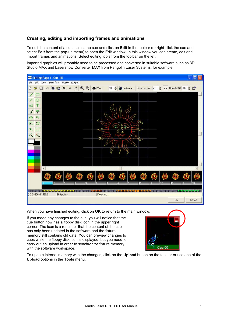#### **Creating, editing and importing frames and animations**

To edit the content of a cue, select the cue and click on **Edit** in the toolbar (or right-click the cue and select **Edit** from the pop-up menu) to open the Edit window. In this window you can create, edit and import frames and animations. Select editing tools from the toolbar on the left.

Imported graphics will probably need to be processed and converted in suitable software such as 3D Studio MAX and Lasershow Converter MAX from Pangolin Laser Systems, for example.



When you have finished editing, click on **OK** to return to the main window.

If you made any changes to the cue, you will notice that the cue button now has a floppy disk icon in the upper right corner. The icon is a reminder that the content of the cue has only been updated in the software and the fixture memory still contains old data. You can preview changes to cues while the floppy disk icon is displayed, but you need to carry out an upload in order to synchronize fixture memory with the software workspace.



To update internal memory with the changes, click on the **Upload** button on the toolbar or use one of the **Upload** options in the **Tools** menu.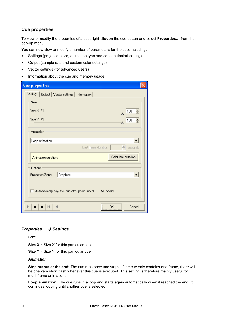#### **Cue properties**

To view or modify the properties of a cue, right-click on the cue button and select **Properties…** from the pop-up menu.

You can now view or modify a number of parameters for the cue, including:

- Settings (projection size, animation type and zone, autostart setting)
- Output (sample rate and custom color settings)
- Vector settings (for advanced users)
- Information about the cue and memory usage

| <b>Cue properties</b>                                               |  |
|---------------------------------------------------------------------|--|
| Settings   Output   Vector settings   Information                   |  |
| Size                                                                |  |
| $Size \times (\%)$<br>Ê<br>100                                      |  |
| Size Y (%)<br>÷<br>100                                              |  |
| Animation                                                           |  |
| Loop animation<br>▼                                                 |  |
| ÷<br>Last frame duration<br>seconds                                 |  |
| Calculate duration<br>Animation duration: ----                      |  |
| Options                                                             |  |
| Graphics<br>Projection Zone<br>$\overline{\phantom{a}}$             |  |
| $^-$ Automatically play this cue after power up of FB3 SE board<br> |  |
| Cancel<br>м<br>Ы<br>П                                               |  |

#### *Properties... → Settings*

*Size* 

**Size X** = Size X for this particular cue

**Size Y** = Size Y for this particular cue

#### *Animation*

**Stop output at the end:** The cue runs once and stops. If the cue only contains one frame, there will be one very short flash whenever this cue is executed. This setting is therefore mainly useful for multi-frame animations.

**Loop animation:** The cue runs in a loop and starts again automatically when it reached the end. It continues looping until another cue is selected.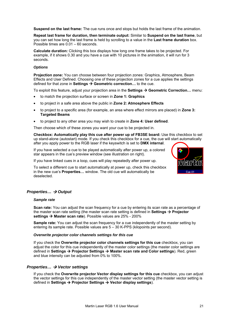**Suspend on the last frame:** The cue runs once and stops but holds the last frame of the animation.

**Repeat last frame for duration, then terminate output:** Similar to **Suspend on the last frame**, but you can set how long the last frame is held by scrolling to a value in the **Last frame duration** box. Possible times are 0.01 – 60 seconds.

**Calculate duration:** Clicking this box displays how long one frame takes to be projected. For example, if it shows 0.30 and you have a cue with 10 pictures in the animation, it will run for 3 seconds.

#### *Options*

**Projection zone:** You can choose between four projection zones: Graphics, Atmosphere, Beam Effects and User Defined. Choosing one of these projection zones for a cue applies the settings defined for that zone in Settings → Geometric correction... to the cue.

To exploit this feature, adjust your projection area in the **Settings → Geometric Correction...** menu:

- to match the projection surface or screen in **Zone 1: Graphics**
- to project in a safe area above the public in **Zone 2: Atmosphere Effects**
- to project to a specific area (for example, an area where effect mirrors are placed) in **Zone 3: Targeted Beams**
- to project to any other area you may wish to create in **Zone 4: User defined**.

Then choose which of these zones you want your cue to be projected in.

**Checkbox: Automatically play this cue after power up of FB3SE board:** Use this checkbox to set up stand-alone (autostart) mode. If you check this checkbox for a cue, the cue will start automatically after you apply power to the RGB laser if the keyswitch is set to **DMX internal**.

If you have selected a cue to be played automatically after power up, a colored star appears in the cue's preview window (see illustration on right).

If you have linked cues in a loop, cues will play repeatedly after power up.

To select a different cue to start automatically at power up, check this checkbox in the new cue's **Properties…** window. The old cue will automatically be deselected.



#### *Properties... → Output*

#### *Sample rate*

**Scan rate:** You can adjust the scan frequency for a cue by entering its scan rate as a percentage of the master scan rate setting (the master scan rate setting is defined in **Settings**  $\rightarrow$  **Projector** settings → Master scan rate). Possible values are 25% - 200%

**Sample rate:** You can adjust the scan frequency for a cue independently of the master setting by entering its sample rate. Possible values are 5 – 30 K-PPS (kilopoints per second).

#### *Overwrite projector color channels settings for this cue*

If you check the **Overwrite projector color channels settings for this cue** checkbox, you can adjust the color for this cue independently of the master color settings (the master color settings are defined in **Settings → Projector Settings → Master scan rate and Color settings**). Red, green and blue intensity can be adjusted from 0% to 100%.

#### *Properties... → Vector settings*

If you check the **Overwrite projector Vector display settings for this cue** checkbox, you can adjust the vector settings for this cue independently of the master vector setting (the master vector setting is defined in Settings → Projector Settings → Vector display settings).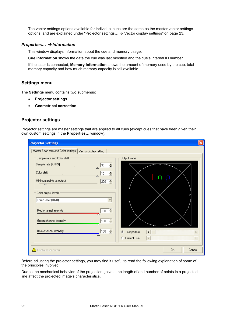The vector settings options available for individual cues are the same as the master vector settings options, and are explained under "Projector settings... > Vector display settings" on page 23.

#### *Properties... → Information*

This window displays information about the cue and memory usage.

**Cue information** shows the date the cue was last modified and the cue's internal ID number.

If the laser is connected, **Memory information** shows the amount of memory used by the cue, total memory capacity and how much memory capacity is still available.

#### **Settings menu**

The **Settings** menu contains two submenus:

- **Projector settings**
- **Geometrical correction**

#### **Projector settings**

Projector settings are master settings that are applied to all cues (except cues that have been given their own custom settings in the **Properties…** window).

| <b>Projector Settings</b>                                   |                                            |
|-------------------------------------------------------------|--------------------------------------------|
| Master Scan rate and Color settings Vector display settings |                                            |
| Sample rate and Color shift                                 | Output frame <sup>-</sup>                  |
| Sample rate (KPPS)<br>÷<br>30<br>$\overline{\triangle}$     |                                            |
| Color shift<br>÷<br>10<br>A                                 |                                            |
| Minimum points at output<br>÷<br>200<br>△                   |                                            |
| Color output levels:                                        |                                            |
| Three laser (RGB)                                           |                                            |
| Red channel intensity<br>슬<br>100                           |                                            |
| Green channel intensity<br>$\div$<br>100                    |                                            |
| Blue channel intensity<br>÷<br>100                          | Test pattern<br>G<br>$\blacktriangleright$ |
|                                                             | C Current Cue<br>$\rightarrow$             |
| $\triangle$ Enable laser output                             | <b>OK</b><br>Cancel                        |

Before adjusting the projector settings, you may find it useful to read the following explanation of some of the principles involved.

Due to the mechanical behavior of the projection galvos, the length of and number of points in a projected line affect the projected image's characteristics.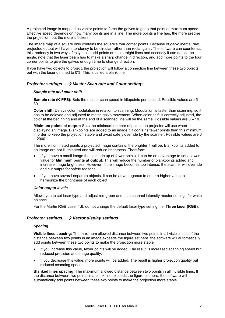A projected image is mapped as vector points to force the galvos to go to that point at maximum speed. Effective speed depends on how many points are in a line. The more points a line has, the more precise the projection, but the more it flickers.

The image map of a square only contains the square's four corner points. Because of galvo inertia, raw projected output will have a tendency to be circular rather than rectangular. The software can counteract this tendency in two ways: firstly it can add points on the straight lines and secondly it can detect the angle, note that the laser beam has to make a sharp change in direction, and add more points to the four corner points to give the galvos enough time to change direction.

If you have two objects to project, the projection will follow a connection line between these two objects, but with the laser dimmed to 0%. This is called a blank line.

#### *Projector settings... → Master Scan rate and Color settings*

#### *Sample rate and color shift*

**Sample rate (K-PPS):** Sets the master scan speed in kilopoints per second. Possible values are 5 – 30.

**Color shift:** Delays color modulation in relation to scanning. Modulation is faster than scanning, so it has to be delayed and adjusted to match galvo movement. When color shift is correctly adjusted, the color at the beginning and at the end of a scanned line will be the same. Possible values are  $0 - 10$ .

**Minimum points at output:** Sets the minimum number of points the projector will use when displaying an image. Blankpoints are added to an image if it contains fewer points than this minimum, in order to keep the projection stable and avoid safety override by the scanner. Possible values are 8  $-2000.$ 

The more illuminated points a projected image contains, the brighter it will be. Blankpoints added to an image are not illuminated and will reduce brightness. Therefore:

- If you have a small image that is made up of fewer points, it can be an advantage to set a lower value for **Minimum points at output**. This will reduce the number of blankpoints added and increase image brightness. However, if the image becomes too intense, the scanner will override and cut output for safety reasons.
- If you have several separate objects, it can be advantageous to enter a higher value to harmonize the brightness of each object.

#### *Color output levels*

Allows you to set laser type and adjust red green and blue channel intensity master settings for white balance.

For the Martin RGB Laser 1.6, do not change the default laser type setting, i.e. **Three laser (RGB)**.

#### *Projector settings... → Vector display settings*

#### *Spacing*

**Visible lines spacing:** The maximum allowed distance between two points in all visible lines. If the distance between two points in an image exceeds the figure set here, the software will automatically add points between these two points to make the projection more stable.

- If you increase this value, fewer points will be added. The result is increased scanning speed but reduced precision and image quality.
- If you decrease this value, more points will be added. The result is higher projection quality but reduced scanning speed.

**Blanked lines spacing:** The maximum allowed distance between two points in all invisible lines. If the distance between two points in a blank line exceeds the figure set here, the software will automatically add points between these two points to make the projection more stable.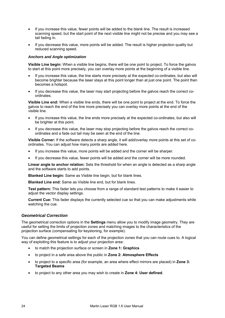- If you increase this value, fewer points will be added to the blank line. The result is increased scanning speed, but the start point of the next visible line might not be precise and you may see a tail fading in.
- If you decrease this value, more points will be added. The result is higher projection quality but reduced scanning speed.

#### *Anchors and Angle optimization*

**Visible Line begin:** When a visible line begins, there will be one point to project. To force the galvos to start at this point more precisely, you can overlay more points at the beginning of a visible line.

- If you increase this value, the line starts more precisely at the expected co-ordinates, but also will become brighter because the laser stays at this point longer than at just one point. The point then becomes a hotspot.
- If you decrease this value, the laser may start projecting before the galvos reach the correct coordinates.

**Visible Line end:** When a visible line ends, there will be one point to project at the end. To force the galvos to reach the end of the line more precisely you can overlay more points at the end of the visible line.

- If you increase this value, the line ends more precisely at the expected co-ordinates, but also will be brighter at this point.
- If you decrease this value, the laser may stop projecting before the galvos reach the correct coordinates and a fade out tail may be seen at the end of the line.

**Visible Corner:** If the software detects a sharp angle, it will add/overlay more points at this set of coordinates. You can adjust how many points are added here.

- If you increase this value, more points will be added and the corner will be sharper.
- If you decrease this value, fewer points will be added and the corner will be more rounded.

**Linear angle to anchor relation:** Sets the threshold for when an angle is detected as a sharp angle and the software starts to add points.

**Blanked Line begin:** Same as Visible line begin, but for blank lines.

**Blanked Line end:** Same as Visible line end, but for blank lines.

**Test pattern:** This fader lets you choose from a range of standard test patterns to make it easier to adjust the vector display settings.

**Current Cue:** This fader displays the currently selected cue so that you can make adjustments while watching the cue.

#### *Geometrical Correction*

The geometrical correction options in the **Settings** menu allow you to modify image geometry. They are useful for setting the limits of projection zones and matching images to the characteristics of the projection surface (compensating for keystoning, for example).

You can define geometrical settings for each of the projection zones that you can route cues to. A logical way of exploiting this feature is to adjust your projection area:

- to match the projection surface or screen in **Zone 1: Graphics**
- to project in a safe area above the public in **Zone 2: Atmosphere Effects**
- to project to a specific area (for example, an area where effect mirrors are placed) in **Zone 3: Targeted Beams**
- to project to any other area you may wish to create in **Zone 4: User defined**.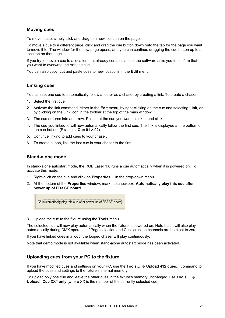#### **Moving cues**

To move a cue, simply click-and-drag to a new location on the page.

To move a cue to a different page, click and drag the cue button down onto the tab for the page you want to move it to. The window for the new page opens, and you can continue dragging the cue button up to a location on that page.

If you try to move a cue to a location that already contains a cue, the software asks you to confirm that you want to overwrite the existing cue.

You can also copy, cut and paste cues to new locations in the **Edit** menu.

#### **Linking cues**

You can set one cue to automatically follow another as a chaser by creating a link. To create a chaser:

- 1. Select the first cue.
- 2. Activate the link command, either in the **Edit** menu, by right-clicking on the cue and selecting **Link**, or by clicking on the Link icon in the toolbar at the top of the main window.
- 3. The cursor turns into an arrow. Point it at the cue you want to link to and click.
- 4. The cue you linked to will now automatically follow the first cue. The link is displayed at the bottom of the cue button. (Example: **Cue 01 > 02**).
- 5. Continue linking to add cues to your chaser.
- 6. To create a loop, link the last cue in your chaser to the first.

#### **Stand-alone mode**

In stand-alone autostart mode, the RGB Laser 1.6 runs a cue automatically when it is powered on. To activate this mode:

- 1. Right-click on the cue and click on **Properties…** in the drop-down menu.
- 2. At the bottom of the **Properties** window, mark the checkbox: **Automatically play this cue after power up of FB3 SE board**.

Automatically play this cue after power up of FB3 SE board

3. Upload the cue to the fixture using the **Tools** menu.

The selected cue will now play automatically when the fixture is powered on. Note that it will also play automatically during DMX operation if Page selection and Cue selection channels are both set to zero.

If you have linked cues in a loop, the looped chaser will play continuously.

Note that demo mode is not available when stand-alone autostart mode has been activated.

#### **Uploading cues from your PC to the fixture**

If you have modified cues and settings on your PC, use the **Tools... → Upload 432 cues...** command to upload the cues and settings to the fixture's internal memory.

To upload only one cue and leave the other cues in the fixture's memory unchanged, use Tools... → **Upload "Cue XX" only** (where XX is the number of the currently selected cue).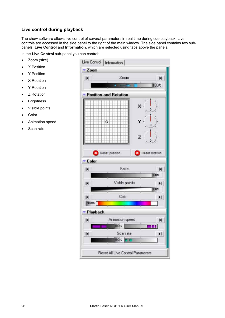#### **Live control during playback**

The show software allows live control of several parameters in real time during cue playback. Live controls are accessed in the side panel to the right of the main window. The side panel contains two subpanels, **Live Control** and **Information**, which are selected using tabs above the panels.

In the **Live Control** sub-panel you can control:

- Zoom (size)
- X Position
- Y Position
- X Rotation
- Y Rotation
- Z Rotation
- Brightness
- Visible points
- Color
- Animation speed
- Scan rate

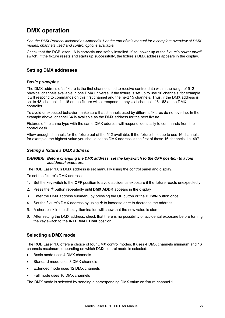### **DMX operation**

*See the DMX Protocol included as Appendix 1 at the end of this manual for a complete overview of DMX modes, channels used and control options available.* 

Check that the RGB laser 1.6 is correctly and safely installed. If so, power up at the fixture's power on/off switch. If the fixture resets and starts up successfully, the fixture's DMX address appears in the display.

#### **Setting DMX addresses**

#### *Basic principles*

The DMX address of a fixture is the first channel used to receive control data within the range of 512 physical channels available in one DMX universe. If the fixture is set up to use 16 channels, for example, it will respond to commands on this first channel and the next 15 channels. Thus, if the DMX address is set to 48, channels 1 - 16 on the fixture will correspond to physical channels 48 - 63 at the DMX controller.

To avoid unexpected behavior, make sure that channels used by different fixtures do not overlap. In the example above, channel 64 is available as the DMX address for the next fixture.

Fixtures of the same type with the same DMX address will respond identically to commands from the control desk.

Allow enough channels for the fixture out of the 512 available. If the fixture is set up to use 16 channels, for example, the highest value you should set as DMX address is the first of those 16 channels, i.e. 497.

#### *Setting a fixture's DMX address*

#### *DANGER! Before changing the DMX address, set the keyswitch to the OFF position to avoid accidental exposure.*

The RGB Laser 1.6's DMX address is set manually using the control panel and display.

To set the fixture's DMX address:

- 1. Set the keyswitch to the **OFF** position to avoid accidental exposure if the fixture reacts unexpectedly.
- 2. Press the **+** button repeatedly until **DMX ADDR** appears in the display
- 3. Enter the DMX address submenu by pressing the **UP** button or the **DOWN** button once.
- 4. Set the fixture's DMX address by using **+** to increase or **–** to decrease the address
- 5. A short blink in the display illumination will show that the new value is stored
- 6. After setting the DMX address, check that there is no possibility of accidental exposure before turning the key switch to the **INTERNAL DMX** position.

#### **Selecting a DMX mode**

The RGB Laser 1.6 offers a choice of four DMX control modes. It uses 4 DMX channels minimum and 16 channels maximum, depending on which DMX control mode is selected:

- Basic mode uses 4 DMX channels
- Standard mode uses 8 DMX channels
- Extended mode uses 12 DMX channels
- Full mode uses 16 DMX channels

The DMX mode is selected by sending a corresponding DMX value on fixture channel 1.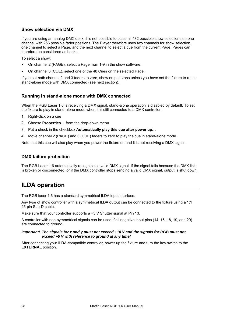#### **Show selection via DMX**

If you are using an analog DMX desk, it is not possible to place all 432 possible show selections on one channel with 256 possible fader positions. The Player therefore uses two channels for show selection, one channel to select a Page, and the next channel to select a cue from the current Page. Pages can therefore be considered as banks.

To select a show:

- On channel 2 (PAGE), select a Page from 1-9 in the show software.
- On channel 3 (CUE), select one of the 48 Cues on the selected Page.

If you set both channel 2 and 3 faders to zero, show output stops unless you have set the fixture to run in stand-alone mode with DMX connected (see next section).

#### **Running in stand-alone mode with DMX connected**

When the RGB Laser 1.6 is receiving a DMX signal, stand-alone operation is disabled by default. To set the fixture to play in stand-alone mode when it is still connected to a DMX controller:

- 1. Right-click on a cue
- 2. Choose **Properties…** from the drop-down menu.
- 3. Put a check in the checkbox **Automatically play this cue after power up…**
- 4. Move channel 2 (PAGE) and 3 (CUE) faders to zero to play the cue in stand-alone mode.

Note that this cue will also play when you power the fixture on and it is not receiving a DMX signal.

#### **DMX failure protection**

The RGB Laser 1.6 automatically recognizes a valid DMX signal. If the signal fails because the DMX link is broken or disconnected, or if the DMX controller stops sending a valid DMX signal, output is shut down.

### **ILDA operation**

The RGB laser 1.6 has a standard symmetrical ILDA input interface.

Any type of show controller with a symmetrical ILDA output can be connected to the fixture using a 1:1 25-pin Sub-D cable.

Make sure that your controller supports a +5 V Shutter signal at Pin 13.

A controller with non-symmetrical signals can be used if all negative input pins (14, 15, 18, 19, and 20) are connected to ground.

#### *Important! The signals for x and y must not exceed +10 V and the signals for RGB must not exceed +5 V with reference to ground at any time!*

After connecting your ILDA-compatible controller, power up the fixture and turn the key switch to the **EXTERNAL** position.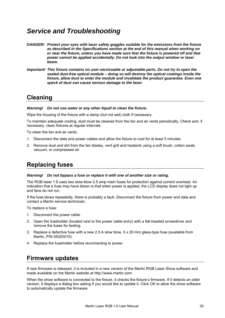### *Service and Troubleshooting*

- *DANGER! Protect your eyes with laser safety goggles suitable for the emissions from the fixture as described in the Specifications section at the end of this manual when working on or near the fixture, unless you have made sure that the fixture is powered off and that power cannot be applied accidentally. Do not look into the output window or laser beam.*
- *Important! This fixture contains no user-serviceable or adjustable parts. Do not try to open the sealed dust-free optical module – doing so will destroy the optical coatings inside the fixture, allow dust to enter the module and invalidate the product guarantee. Even one speck of dust can cause serious damage to the laser.*

### **Cleaning**

#### *Warning! Do not use water or any other liquid to clean the fixture.*

Wipe the housing of the fixture with a damp (but not wet) cloth if necessary.

To maintain adequate cooling, dust must be cleaned from the fan and air vents periodically. Check and, if necessary, clean fixtures at regular intervals.

To clean the fan and air vents:

- 1. Disconnect the data and power cables and allow the fixture to cool for at least 5 minutes.
- 2. Remove dust and dirt from the fan blades, vent grill and heatsink using a soft brush, cotton swab, vacuum, or compressed air.

### **Replacing fuses**

#### *Warning! Do not bypass a fuse or replace it with one of another size or rating.*

The RGB laser 1.6 uses two slow-blow 2.5 amp main fuses for protection against current overload. An indication that a fuse may have blown is that when power is applied, the LCD display does not light up and fans do not run.

If the fuse blows repeatedly, there is probably a fault. Disconnect the fixture from power and data and contact a Martin service technician.

To replace a fuse:

- 1. Disconnect the power cable.
- 2. Open the fuseholder (located next to the power cable entry) with a flat-headed screwdriver and remove the fuses for testing.
- 3. Replace a defective fuse with a new 2.5 A slow blow, 5 x 20 mm glass-type fuse (available from Martin, P/N 05020010).
- 4. Replace the fuseholder before reconnecting to power.

### **Firmware updates**

If new firmware is released, it is included in a new version of the Martin RGB Laser Show software and made available on the Martin website at http://www.martin.com

When the show software is connected to the fixture, it checks the fixture's firmware. If it detects an older version, it displays a dialog box asking if you would like to update it. Click OK to allow the show software to automatically update the firmware.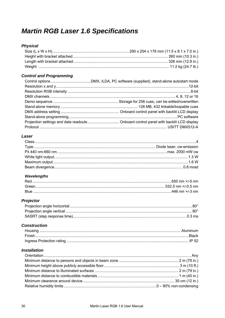## **Martin RGB Laser 1.6 Specifications**

#### **Physical**

#### **Control and Programming**

#### Laser

#### **Wavelengths**

| Red    |  |
|--------|--|
| Green  |  |
| - Blue |  |

#### Projector

#### **Construction**

#### **Installation**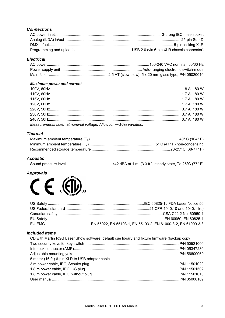#### **Connections**

#### **Electrical**

#### **Maximum power and current**

| Measurements taken at nominal voltage. Allow for +/-10% variation. |  |
|--------------------------------------------------------------------|--|

#### **Thermal**

#### **Acoustic**

#### **Approvals**



#### **Included items**

| CD with Martin RGB Laser Show software, default cue library and fixture firmware (backup copy) |  |
|------------------------------------------------------------------------------------------------|--|
|                                                                                                |  |
|                                                                                                |  |
|                                                                                                |  |
| 5 meter (16 ft.) 6-pin XLR to USB adaptor cable                                                |  |
|                                                                                                |  |
|                                                                                                |  |
|                                                                                                |  |
|                                                                                                |  |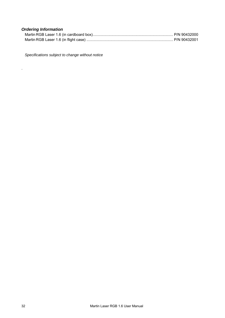#### *Ordering Information*

.

*Specifications subject to change without notice*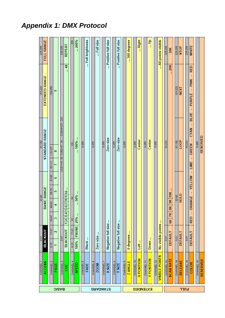# *Appendix 1: DMX Protocol*

|                 | CHANNEL <sub>1</sub>  | $\overline{6}$          |                      |          | 33-95              |                 |            | 97-159                 |                                     | 161-223                                   | 225-255            |
|-----------------|-----------------------|-------------------------|----------------------|----------|--------------------|-----------------|------------|------------------------|-------------------------------------|-------------------------------------------|--------------------|
|                 | <b>ACCESS</b>         | BLACKOUT                |                      |          | <b>BASIC RANGE</b> |                 |            |                        | <b>STANDARD RANGE</b>               | EXTENDED RANGE                            | FULL RANGE         |
|                 | CHANNEL <sub>2</sub>  | $17-31$<br>$0 - 15$     | 3347                 | 49-63    | 65-79              | $rac{96-18}{3}$ | $07 - 111$ | 113-127                |                                     | 129-255                                   |                    |
| <b>BASIC</b>    | PAGE                  | $\overline{\mathbf{c}}$ | 3                    | 4        | 5                  | 6               |            | 8                      |                                     | ക                                         |                    |
|                 | CHANNEL <sub>3</sub>  | $\overline{0}$ -31      |                      |          |                    |                 |            |                        | CUE1=3335, CUE2=3739,, CUE48=221223 |                                           | 225-255            |
|                 | CUE                   | <b>BLACKOUT</b>         | 1 2 3 4 5            | 016 816  |                    |                 |            |                        |                                     | $-48$                                     | <b>REPEAT</b>      |
|                 | CHANNEL 4             | $17-31$<br>$0 - 15$     | $33 -$               | $-64$    |                    |                 |            | $\dots$ 128 $\dots$    |                                     |                                           | .255               |
|                 | <b>SPEED</b>          | PAUSE<br>100%           | 25%                  | $ 50\% $ |                    |                 |            | $\ldots$ 100% $\ldots$ |                                     |                                           | $200\%$            |
|                 | CHANNEL 5             |                         |                      |          |                    |                 |            | $0 - 255$              |                                     |                                           |                    |
|                 | <b>FADE</b>           | Black                   |                      |          |                    |                 |            |                        |                                     |                                           | Full brightness    |
|                 | CHANNEL 6             |                         |                      |          |                    |                 |            | 0-255                  |                                     |                                           |                    |
|                 | <b>ZOOM</b>           | Zero size               |                      |          |                    |                 |            |                        |                                     |                                           | Full size          |
|                 | CHANNEL 7             |                         |                      |          |                    |                 |            | $0 - 255$              |                                     |                                           |                    |
| <b>GRAGNATS</b> | <b>X SIZE</b>         | Negative full size      | ÷                    |          |                    |                 |            | Zero size              |                                     |                                           | Positive full size |
|                 | CHANNEL 8             |                         |                      |          |                    |                 |            | $0 - 255$              |                                     |                                           |                    |
|                 | Y SIZE                | Negative full size      | ÷                    |          |                    |                 |            | Zero size              |                                     |                                           | Positive full size |
|                 | CHANNEL 9             |                         |                      |          |                    |                 |            | 0-255                  |                                     |                                           |                    |
|                 | Z ANGLE               | ĵ.<br>0 degrees         |                      |          |                    |                 |            |                        |                                     |                                           | 360 degrees        |
|                 | CHANNEL 10            |                         |                      |          |                    |                 |            | $0 - 255$              |                                     |                                           |                    |
| <b>EXTENDED</b> | <b>XPOSITION</b>      | Left                    |                      |          |                    |                 |            | Center                 |                                     |                                           | Right              |
|                 | CHANNEL 11            |                         |                      |          |                    |                 |            | 0-255                  |                                     |                                           |                    |
|                 | <b>Y POSITION</b>     | Down                    |                      |          |                    |                 |            | Center                 |                                     |                                           | eل                 |
|                 | CHANNEL 12            |                         |                      |          |                    |                 |            | $0 - 255$              |                                     |                                           |                    |
|                 | <b>VISIBLE POINTS</b> | No visible points       |                      |          |                    |                 |            |                        |                                     |                                           | All points visible |
|                 | CHANNEL 13            | $0 - 31$                |                      |          |                    |                 |            | 33-223                 |                                     |                                           | 225-255            |
|                 | <b>SCAN RATE</b>      | DEFAULT                 | 7K<br>$\frac{8}{10}$ | 8K       | 9K 10K             |                 |            |                        |                                     | $-29K$                                    | 30K                |
|                 | CHANNEL 14            | $0 - 31$                |                      |          | 33-95              |                 |            | 97-159                 |                                     | 161-223                                   | 225-255            |
|                 | RELEASE               | DEFAULT                 |                      | HOTD     |                    |                 |            | LOOP                   |                                     | NEXT                                      | STOP               |
| <b>HULL</b>     | CHANNEL 15            | $\overline{0}$ -31      |                      |          |                    |                 |            | 33-223                 |                                     |                                           | 225-255            |
|                 | COLOR                 | DEFAULT                 | <b>RED</b>           | ORANGE   | $\blacksquare$     | YELLOW -        | LIME       | GREEN -                | BLUE<br><b>CYAN</b>                 | <b>RED</b><br><b>PINK</b><br>J.<br>PURPLE | WHITE              |
|                 | CHANNEL 16            |                         |                      |          |                    |                 |            | $0 - 255$              |                                     |                                           |                    |
|                 | RESERVED              |                         |                      |          |                    |                 |            | RESERVED               |                                     |                                           |                    |